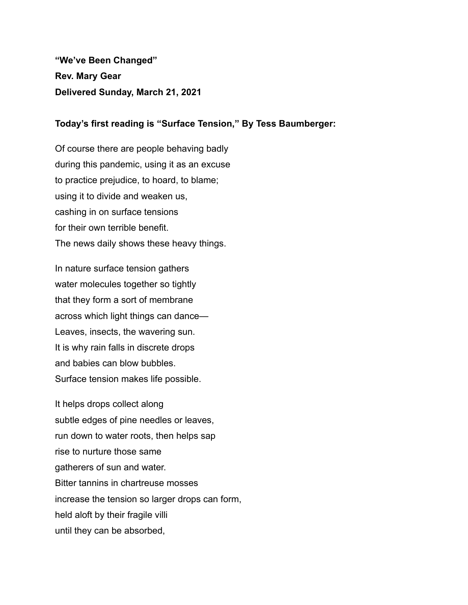**"We've Been Changed" Rev. Mary Gear Delivered Sunday, March 21, 2021**

## **Today's first reading is "Surface Tension," By Tess Baumberger:**

Of course there are people behaving badly during this pandemic, using it as an excuse to practice prejudice, to hoard, to blame; using it to divide and weaken us, cashing in on surface tensions for their own terrible benefit. The news daily shows these heavy things.

In nature surface tension gathers water molecules together so tightly that they form a sort of membrane across which light things can dance— Leaves, insects, the wavering sun. It is why rain falls in discrete drops and babies can blow bubbles. Surface tension makes life possible.

It helps drops collect along subtle edges of pine needles or leaves, run down to water roots, then helps sap rise to nurture those same gatherers of sun and water. Bitter tannins in chartreuse mosses increase the tension so larger drops can form, held aloft by their fragile villi until they can be absorbed,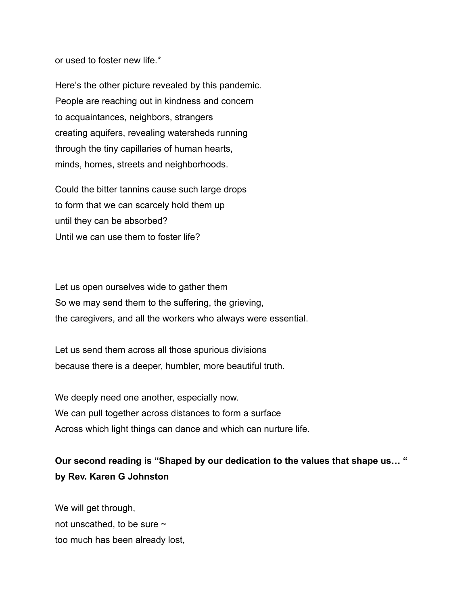or used to foster new life.\*

Here's the other picture revealed by this pandemic. People are reaching out in kindness and concern to acquaintances, neighbors, strangers creating aquifers, revealing watersheds running through the tiny capillaries of human hearts, minds, homes, streets and neighborhoods.

Could the bitter tannins cause such large drops to form that we can scarcely hold them up until they can be absorbed? Until we can use them to foster life?

Let us open ourselves wide to gather them So we may send them to the suffering, the grieving, the caregivers, and all the workers who always were essential.

Let us send them across all those spurious divisions because there is a deeper, humbler, more beautiful truth.

We deeply need one another, especially now. We can pull together across distances to form a surface Across which light things can dance and which can nurture life.

## **Our second reading is "Shaped by our dedication to the values that shape us… " by Rev. Karen G Johnston**

We will get through, not unscathed, to be sure  $\sim$ too much has been already lost,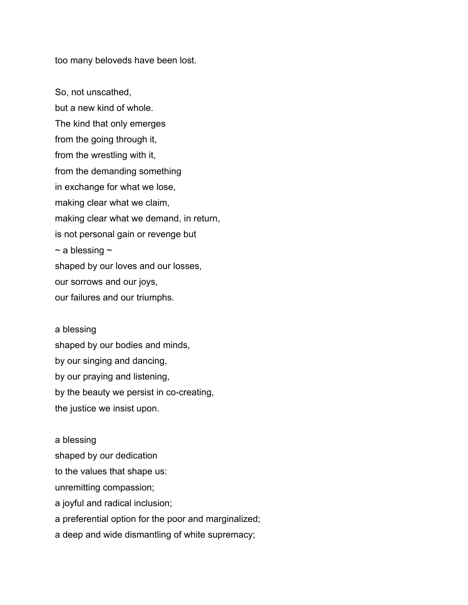too many beloveds have been lost.

So, not unscathed, but a new kind of whole. The kind that only emerges from the going through it, from the wrestling with it, from the demanding something in exchange for what we lose, making clear what we claim, making clear what we demand, in return, is not personal gain or revenge but  $\sim$  a blessing  $\sim$ shaped by our loves and our losses, our sorrows and our joys, our failures and our triumphs.

a blessing shaped by our bodies and minds, by our singing and dancing, by our praying and listening, by the beauty we persist in co-creating, the justice we insist upon.

a blessing shaped by our dedication to the values that shape us: unremitting compassion; a joyful and radical inclusion; a preferential option for the poor and marginalized; a deep and wide dismantling of white supremacy;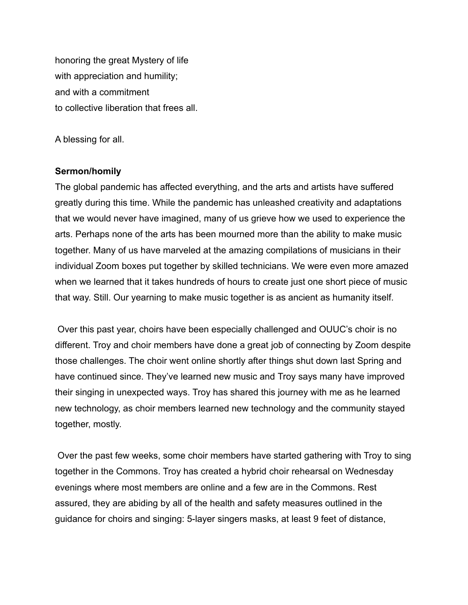honoring the great Mystery of life with appreciation and humility; and with a commitment to collective liberation that frees all.

A blessing for all.

## **Sermon/homily**

The global pandemic has affected everything, and the arts and artists have suffered greatly during this time. While the pandemic has unleashed creativity and adaptations that we would never have imagined, many of us grieve how we used to experience the arts. Perhaps none of the arts has been mourned more than the ability to make music together. Many of us have marveled at the amazing compilations of musicians in their individual Zoom boxes put together by skilled technicians. We were even more amazed when we learned that it takes hundreds of hours to create just one short piece of music that way. Still. Our yearning to make music together is as ancient as humanity itself.

Over this past year, choirs have been especially challenged and OUUC's choir is no different. Troy and choir members have done a great job of connecting by Zoom despite those challenges. The choir went online shortly after things shut down last Spring and have continued since. They've learned new music and Troy says many have improved their singing in unexpected ways. Troy has shared this journey with me as he learned new technology, as choir members learned new technology and the community stayed together, mostly.

Over the past few weeks, some choir members have started gathering with Troy to sing together in the Commons. Troy has created a hybrid choir rehearsal on Wednesday evenings where most members are online and a few are in the Commons. Rest assured, they are abiding by all of the health and safety measures outlined in the guidance for choirs and singing: 5-layer singers masks, at least 9 feet of distance,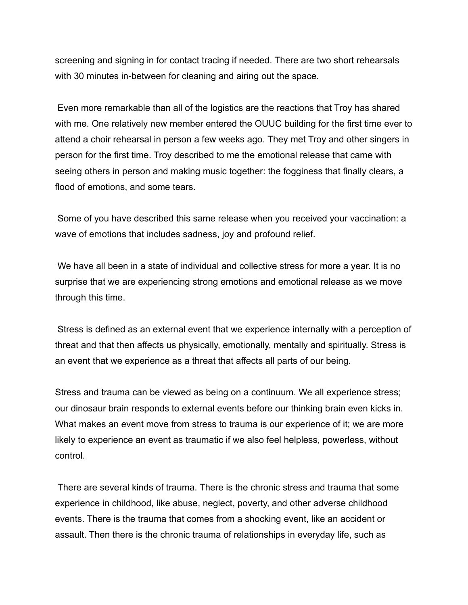screening and signing in for contact tracing if needed. There are two short rehearsals with 30 minutes in-between for cleaning and airing out the space.

Even more remarkable than all of the logistics are the reactions that Troy has shared with me. One relatively new member entered the OUUC building for the first time ever to attend a choir rehearsal in person a few weeks ago. They met Troy and other singers in person for the first time. Troy described to me the emotional release that came with seeing others in person and making music together: the fogginess that finally clears, a flood of emotions, and some tears.

Some of you have described this same release when you received your vaccination: a wave of emotions that includes sadness, joy and profound relief.

We have all been in a state of individual and collective stress for more a year. It is no surprise that we are experiencing strong emotions and emotional release as we move through this time.

Stress is defined as an external event that we experience internally with a perception of threat and that then affects us physically, emotionally, mentally and spiritually. Stress is an event that we experience as a threat that affects all parts of our being.

Stress and trauma can be viewed as being on a continuum. We all experience stress; our dinosaur brain responds to external events before our thinking brain even kicks in. What makes an event move from stress to trauma is our experience of it; we are more likely to experience an event as traumatic if we also feel helpless, powerless, without control.

There are several kinds of trauma. There is the chronic stress and trauma that some experience in childhood, like abuse, neglect, poverty, and other adverse childhood events. There is the trauma that comes from a shocking event, like an accident or assault. Then there is the chronic trauma of relationships in everyday life, such as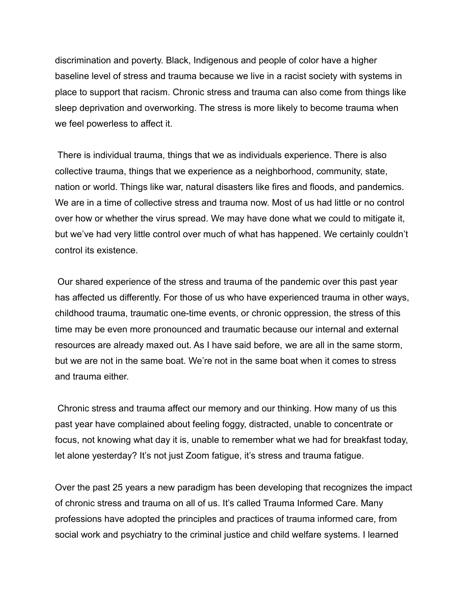discrimination and poverty. Black, Indigenous and people of color have a higher baseline level of stress and trauma because we live in a racist society with systems in place to support that racism. Chronic stress and trauma can also come from things like sleep deprivation and overworking. The stress is more likely to become trauma when we feel powerless to affect it.

There is individual trauma, things that we as individuals experience. There is also collective trauma, things that we experience as a neighborhood, community, state, nation or world. Things like war, natural disasters like fires and floods, and pandemics. We are in a time of collective stress and trauma now. Most of us had little or no control over how or whether the virus spread. We may have done what we could to mitigate it, but we've had very little control over much of what has happened. We certainly couldn't control its existence.

Our shared experience of the stress and trauma of the pandemic over this past year has affected us differently. For those of us who have experienced trauma in other ways, childhood trauma, traumatic one-time events, or chronic oppression, the stress of this time may be even more pronounced and traumatic because our internal and external resources are already maxed out. As I have said before, we are all in the same storm, but we are not in the same boat. We're not in the same boat when it comes to stress and trauma either.

Chronic stress and trauma affect our memory and our thinking. How many of us this past year have complained about feeling foggy, distracted, unable to concentrate or focus, not knowing what day it is, unable to remember what we had for breakfast today, let alone yesterday? It's not just Zoom fatigue, it's stress and trauma fatigue.

Over the past 25 years a new paradigm has been developing that recognizes the impact of chronic stress and trauma on all of us. It's called Trauma Informed Care. Many professions have adopted the principles and practices of trauma informed care, from social work and psychiatry to the criminal justice and child welfare systems. I learned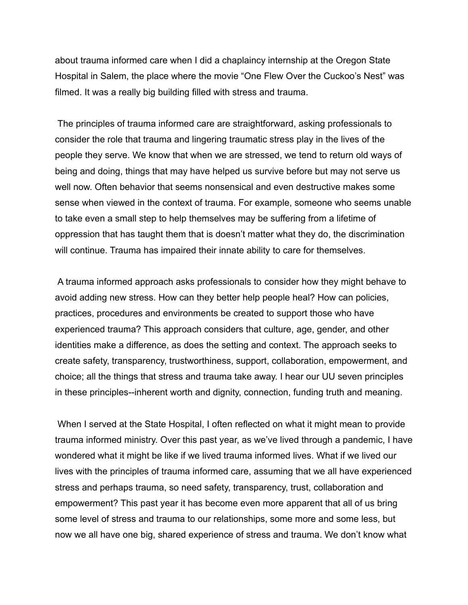about trauma informed care when I did a chaplaincy internship at the Oregon State Hospital in Salem, the place where the movie "One Flew Over the Cuckoo's Nest" was filmed. It was a really big building filled with stress and trauma.

The principles of trauma informed care are straightforward, asking professionals to consider the role that trauma and lingering traumatic stress play in the lives of the people they serve. We know that when we are stressed, we tend to return old ways of being and doing, things that may have helped us survive before but may not serve us well now. Often behavior that seems nonsensical and even destructive makes some sense when viewed in the context of trauma. For example, someone who seems unable to take even a small step to help themselves may be suffering from a lifetime of oppression that has taught them that is doesn't matter what they do, the discrimination will continue. Trauma has impaired their innate ability to care for themselves.

A trauma informed approach asks professionals to consider how they might behave to avoid adding new stress. How can they better help people heal? How can policies, practices, procedures and environments be created to support those who have experienced trauma? This approach considers that culture, age, gender, and other identities make a difference, as does the setting and context. The approach seeks to create safety, transparency, trustworthiness, support, collaboration, empowerment, and choice; all the things that stress and trauma take away. I hear our UU seven principles in these principles--inherent worth and dignity, connection, funding truth and meaning.

When I served at the State Hospital, I often reflected on what it might mean to provide trauma informed ministry. Over this past year, as we've lived through a pandemic, I have wondered what it might be like if we lived trauma informed lives. What if we lived our lives with the principles of trauma informed care, assuming that we all have experienced stress and perhaps trauma, so need safety, transparency, trust, collaboration and empowerment? This past year it has become even more apparent that all of us bring some level of stress and trauma to our relationships, some more and some less, but now we all have one big, shared experience of stress and trauma. We don't know what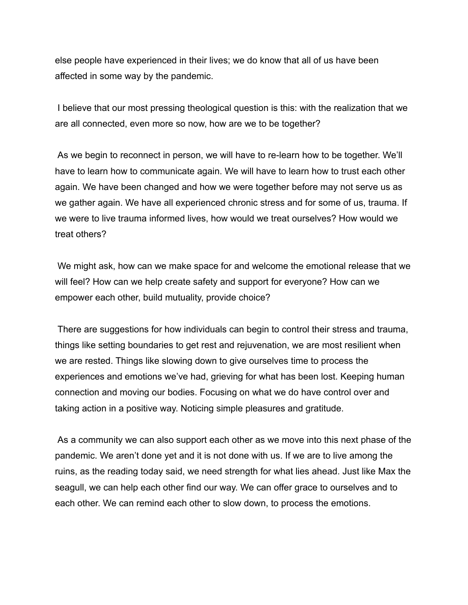else people have experienced in their lives; we do know that all of us have been affected in some way by the pandemic.

I believe that our most pressing theological question is this: with the realization that we are all connected, even more so now, how are we to be together?

As we begin to reconnect in person, we will have to re-learn how to be together. We'll have to learn how to communicate again. We will have to learn how to trust each other again. We have been changed and how we were together before may not serve us as we gather again. We have all experienced chronic stress and for some of us, trauma. If we were to live trauma informed lives, how would we treat ourselves? How would we treat others?

We might ask, how can we make space for and welcome the emotional release that we will feel? How can we help create safety and support for everyone? How can we empower each other, build mutuality, provide choice?

There are suggestions for how individuals can begin to control their stress and trauma, things like setting boundaries to get rest and rejuvenation, we are most resilient when we are rested. Things like slowing down to give ourselves time to process the experiences and emotions we've had, grieving for what has been lost. Keeping human connection and moving our bodies. Focusing on what we do have control over and taking action in a positive way. Noticing simple pleasures and gratitude.

As a community we can also support each other as we move into this next phase of the pandemic. We aren't done yet and it is not done with us. If we are to live among the ruins, as the reading today said, we need strength for what lies ahead. Just like Max the seagull, we can help each other find our way. We can offer grace to ourselves and to each other. We can remind each other to slow down, to process the emotions.